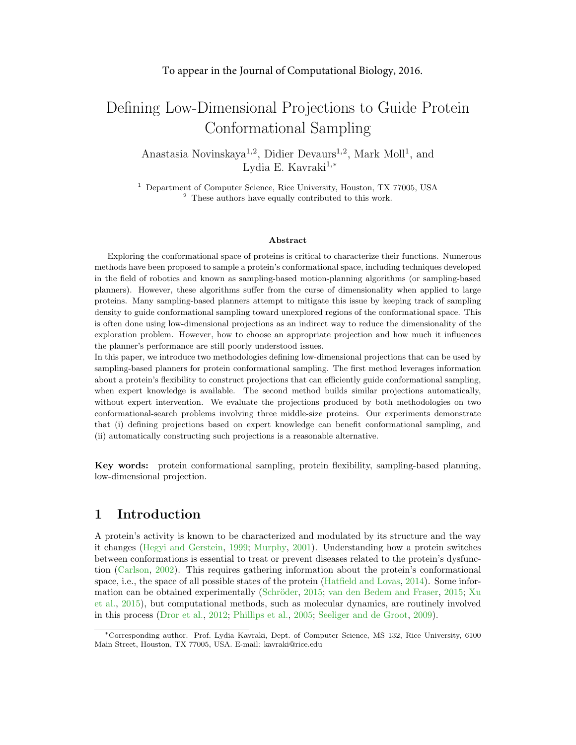# Defining Low-Dimensional Projections to Guide Protein Conformational Sampling

Anastasia Novinskaya<sup>1,2</sup>, Didier Devaurs<sup>1,2</sup>, Mark Moll<sup>1</sup>, and Lydia E. Kavraki<sup>1,\*</sup>

<sup>1</sup> Department of Computer Science, Rice University, Houston, TX 77005, USA <sup>2</sup> These authors have equally contributed to this work.

#### Abstract

Exploring the conformational space of proteins is critical to characterize their functions. Numerous methods have been proposed to sample a protein's conformational space, including techniques developed in the field of robotics and known as sampling-based motion-planning algorithms (or sampling-based planners). However, these algorithms suffer from the curse of dimensionality when applied to large proteins. Many sampling-based planners attempt to mitigate this issue by keeping track of sampling density to guide conformational sampling toward unexplored regions of the conformational space. This is often done using low-dimensional projections as an indirect way to reduce the dimensionality of the exploration problem. However, how to choose an appropriate projection and how much it influences the planner's performance are still poorly understood issues.

In this paper, we introduce two methodologies defining low-dimensional projections that can be used by sampling-based planners for protein conformational sampling. The first method leverages information about a protein's flexibility to construct projections that can efficiently guide conformational sampling, when expert knowledge is available. The second method builds similar projections automatically, without expert intervention. We evaluate the projections produced by both methodologies on two conformational-search problems involving three middle-size proteins. Our experiments demonstrate that (i) defining projections based on expert knowledge can benefit conformational sampling, and (ii) automatically constructing such projections is a reasonable alternative.

Key words: protein conformational sampling, protein flexibility, sampling-based planning, low-dimensional projection.

# 1 Introduction

A protein's activity is known to be characterized and modulated by its structure and the way it changes [\(Hegyi and Gerstein,](#page-11-0) [1999;](#page-11-0) [Murphy,](#page-12-0) [2001\)](#page-12-0). Understanding how a protein switches between conformations is essential to treat or prevent diseases related to the protein's dysfunction [\(Carlson,](#page-10-0) [2002\)](#page-10-0). This requires gathering information about the protein's conformational space, i.e., the space of all possible states of the protein [\(Hatfield and Lovas,](#page-11-1) [2014\)](#page-11-1). Some infor-mation can be obtained experimentally (Schröder, [2015;](#page-12-2) [van den Bedem and Fraser,](#page-12-2) 2015; [Xu](#page-12-3) [et al.,](#page-12-3) [2015\)](#page-12-3), but computational methods, such as molecular dynamics, are routinely involved in this process [\(Dror et al.,](#page-11-2) [2012;](#page-11-2) [Phillips et al.,](#page-12-4) [2005;](#page-12-4) [Seeliger and de Groot,](#page-12-5) [2009\)](#page-12-5).

<sup>∗</sup>Corresponding author. Prof. Lydia Kavraki, Dept. of Computer Science, MS 132, Rice University, 6100 Main Street, Houston, TX 77005, USA. E-mail: kavraki@rice.edu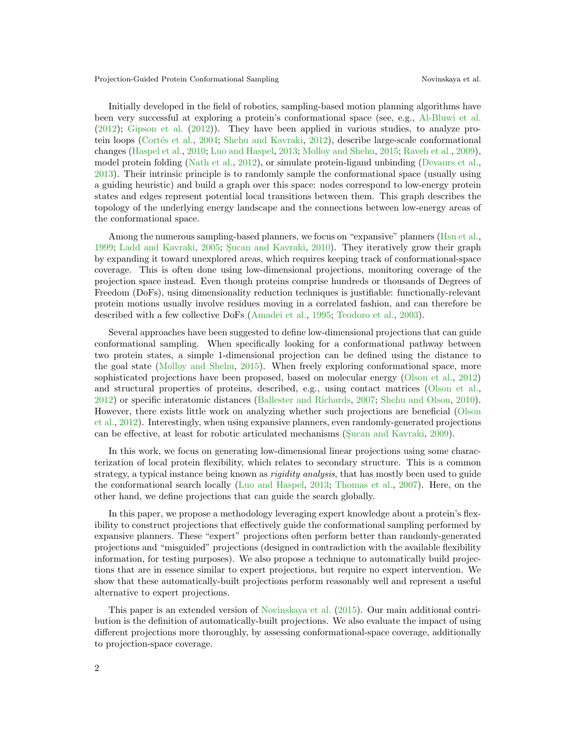Initially developed in the field of robotics, sampling-based motion planning algorithms have been very successful at exploring a protein's conformational space (see, e.g., [Al-Bluwi et al.](#page-10-1) [\(2012\)](#page-10-1); [Gipson et al.](#page-11-3) [\(2012\)](#page-11-3)). They have been applied in various studies, to analyze pro-tein loops (Cortés et al., [2004;](#page-11-4) [Shehu and Kavraki,](#page-12-6) [2012\)](#page-12-6), describe large-scale conformational changes [\(Haspel et al.,](#page-11-5) [2010;](#page-11-5) [Luo and Haspel,](#page-11-6) [2013;](#page-11-6) [Molloy and Shehu,](#page-12-7) [2015;](#page-12-7) [Raveh et al.,](#page-12-8) [2009\)](#page-12-8), model protein folding [\(Nath et al.,](#page-12-9) [2012\)](#page-12-9), or simulate protein-ligand unbinding [\(Devaurs et al.,](#page-11-7) [2013\)](#page-11-7). Their intrinsic principle is to randomly sample the conformational space (usually using a guiding heuristic) and build a graph over this space: nodes correspond to low-energy protein states and edges represent potential local transitions between them. This graph describes the topology of the underlying energy landscape and the connections between low-energy areas of the conformational space.

Among the numerous sampling-based planners, we focus on "expansive" planners [\(Hsu et al.,](#page-11-8) [1999;](#page-11-8) [Ladd and Kavraki,](#page-11-9) [2005;](#page-11-9) Sucan and Kavraki, [2010\)](#page-12-10). They iteratively grow their graph by expanding it toward unexplored areas, which requires keeping track of conformational-space coverage. This is often done using low-dimensional projections, monitoring coverage of the projection space instead. Even though proteins comprise hundreds or thousands of Degrees of Freedom (DoFs), using dimensionality reduction techniques is justifiable: functionally-relevant protein motions usually involve residues moving in a correlated fashion, and can therefore be described with a few collective DoFs [\(Amadei et al.,](#page-10-2) [1995;](#page-10-2) [Teodoro et al.,](#page-12-11) [2003\)](#page-12-11).

Several approaches have been suggested to define low-dimensional projections that can guide conformational sampling. When specifically looking for a conformational pathway between two protein states, a simple 1-dimensional projection can be defined using the distance to the goal state [\(Molloy and Shehu,](#page-12-7) [2015\)](#page-12-7). When freely exploring conformational space, more sophisticated projections have been proposed, based on molecular energy [\(Olson et al.,](#page-12-12) [2012\)](#page-12-12) and structural properties of proteins, described, e.g., using contact matrices [\(Olson et al.,](#page-12-12) [2012\)](#page-12-12) or specific interatomic distances [\(Ballester and Richards,](#page-10-3) [2007;](#page-10-3) [Shehu and Olson,](#page-12-13) [2010\)](#page-12-13). However, there exists little work on analyzing whether such projections are beneficial [\(Olson](#page-12-12) [et al.,](#page-12-12) [2012\)](#page-12-12). Interestingly, when using expansive planners, even randomly-generated projections can be effective, at least for robotic articulated mechanisms (Sucan and Kavraki, [2009\)](#page-12-14).

In this work, we focus on generating low-dimensional linear projections using some characterization of local protein flexibility, which relates to secondary structure. This is a common strategy, a typical instance being known as *rigidity analysis*, that has mostly been used to guide the conformational search locally [\(Luo and Haspel,](#page-11-6) [2013;](#page-11-6) [Thomas et al.,](#page-12-15) [2007\)](#page-12-15). Here, on the other hand, we define projections that can guide the search globally.

In this paper, we propose a methodology leveraging expert knowledge about a protein's flexibility to construct projections that effectively guide the conformational sampling performed by expansive planners. These "expert" projections often perform better than randomly-generated projections and "misguided" projections (designed in contradiction with the available flexibility information, for testing purposes). We also propose a technique to automatically build projections that are in essence similar to expert projections, but require no expert intervention. We show that these automatically-built projections perform reasonably well and represent a useful alternative to expert projections.

This paper is an extended version of [Novinskaya et al.](#page-12-16) [\(2015\)](#page-12-16). Our main additional contribution is the definition of automatically-built projections. We also evaluate the impact of using different projections more thoroughly, by assessing conformational-space coverage, additionally to projection-space coverage.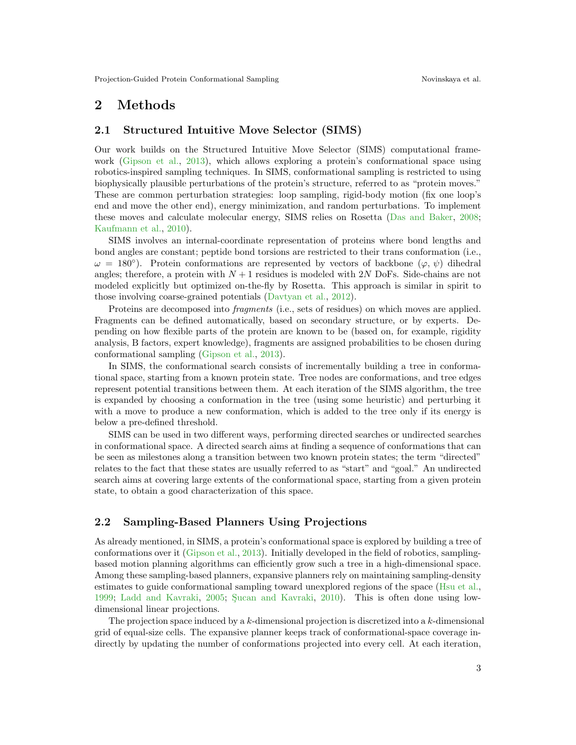# 2 Methods

#### 2.1 Structured Intuitive Move Selector (SIMS)

Our work builds on the Structured Intuitive Move Selector (SIMS) computational framework [\(Gipson et al.,](#page-11-10) [2013\)](#page-11-10), which allows exploring a protein's conformational space using robotics-inspired sampling techniques. In SIMS, conformational sampling is restricted to using biophysically plausible perturbations of the protein's structure, referred to as "protein moves." These are common perturbation strategies: loop sampling, rigid-body motion (fix one loop's end and move the other end), energy minimization, and random perturbations. To implement these moves and calculate molecular energy, SIMS relies on Rosetta [\(Das and Baker,](#page-11-11) [2008;](#page-11-11) [Kaufmann et al.,](#page-11-12) [2010\)](#page-11-12).

SIMS involves an internal-coordinate representation of proteins where bond lengths and bond angles are constant; peptide bond torsions are restricted to their trans conformation (i.e.,  $\omega = 180^{\circ}$ ). Protein conformations are represented by vectors of backbone  $(\varphi, \psi)$  dihedral angles; therefore, a protein with  $N+1$  residues is modeled with  $2N$  DoFs. Side-chains are not modeled explicitly but optimized on-the-fly by Rosetta. This approach is similar in spirit to those involving coarse-grained potentials [\(Davtyan et al.,](#page-11-13) [2012\)](#page-11-13).

Proteins are decomposed into fragments (i.e., sets of residues) on which moves are applied. Fragments can be defined automatically, based on secondary structure, or by experts. Depending on how flexible parts of the protein are known to be (based on, for example, rigidity analysis, B factors, expert knowledge), fragments are assigned probabilities to be chosen during conformational sampling [\(Gipson et al.,](#page-11-10) [2013\)](#page-11-10).

In SIMS, the conformational search consists of incrementally building a tree in conformational space, starting from a known protein state. Tree nodes are conformations, and tree edges represent potential transitions between them. At each iteration of the SIMS algorithm, the tree is expanded by choosing a conformation in the tree (using some heuristic) and perturbing it with a move to produce a new conformation, which is added to the tree only if its energy is below a pre-defined threshold.

SIMS can be used in two different ways, performing directed searches or undirected searches in conformational space. A directed search aims at finding a sequence of conformations that can be seen as milestones along a transition between two known protein states; the term "directed" relates to the fact that these states are usually referred to as "start" and "goal." An undirected search aims at covering large extents of the conformational space, starting from a given protein state, to obtain a good characterization of this space.

### 2.2 Sampling-Based Planners Using Projections

As already mentioned, in SIMS, a protein's conformational space is explored by building a tree of conformations over it [\(Gipson et al.,](#page-11-10) [2013\)](#page-11-10). Initially developed in the field of robotics, samplingbased motion planning algorithms can efficiently grow such a tree in a high-dimensional space. Among these sampling-based planners, expansive planners rely on maintaining sampling-density estimates to guide conformational sampling toward unexplored regions of the space [\(Hsu et al.,](#page-11-8) [1999;](#page-11-8) [Ladd and Kavraki,](#page-11-9) [2005;](#page-11-9) Sucan and Kavraki, [2010\)](#page-12-10). This is often done using lowdimensional linear projections.

The projection space induced by a  $k$ -dimensional projection is discretized into a  $k$ -dimensional grid of equal-size cells. The expansive planner keeps track of conformational-space coverage indirectly by updating the number of conformations projected into every cell. At each iteration,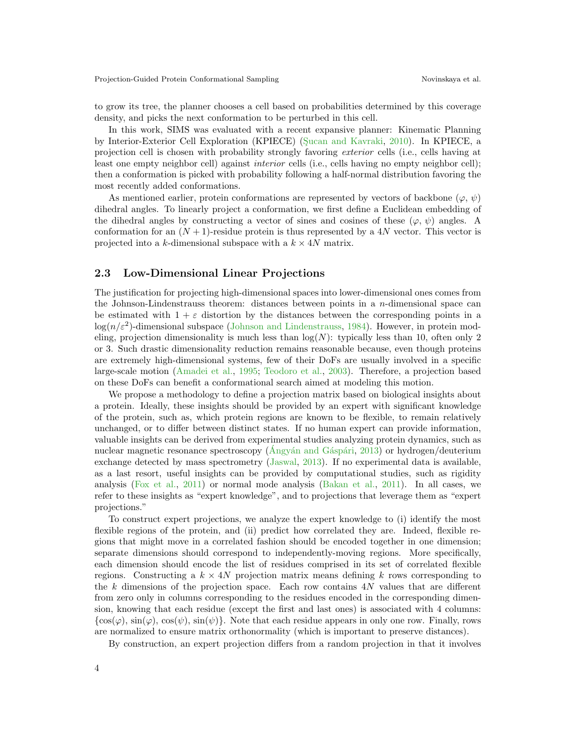to grow its tree, the planner chooses a cell based on probabilities determined by this coverage density, and picks the next conformation to be perturbed in this cell.

In this work, SIMS was evaluated with a recent expansive planner: Kinematic Planning by Interior-Exterior Cell Exploration (KPIECE) (Sucan and Kavraki, [2010\)](#page-12-10). In KPIECE, a projection cell is chosen with probability strongly favoring exterior cells (i.e., cells having at least one empty neighbor cell) against interior cells (i.e., cells having no empty neighbor cell); then a conformation is picked with probability following a half-normal distribution favoring the most recently added conformations.

As mentioned earlier, protein conformations are represented by vectors of backbone ( $\varphi, \psi$ ) dihedral angles. To linearly project a conformation, we first define a Euclidean embedding of the dihedral angles by constructing a vector of sines and cosines of these  $(\varphi, \psi)$  angles. A conformation for an  $(N + 1)$ -residue protein is thus represented by a 4N vector. This vector is projected into a k-dimensional subspace with a  $k \times 4N$  matrix.

#### 2.3 Low-Dimensional Linear Projections

The justification for projecting high-dimensional spaces into lower-dimensional ones comes from the Johnson-Lindenstrauss theorem: distances between points in a  $n$ -dimensional space can be estimated with  $1 + \varepsilon$  distortion by the distances between the corresponding points in a  $log(n/\varepsilon^2)$ -dimensional subspace [\(Johnson and Lindenstrauss,](#page-11-14) [1984\)](#page-11-14). However, in protein modeling, projection dimensionality is much less than  $log(N)$ : typically less than 10, often only 2 or 3. Such drastic dimensionality reduction remains reasonable because, even though proteins are extremely high-dimensional systems, few of their DoFs are usually involved in a specific large-scale motion [\(Amadei et al.,](#page-10-2) [1995;](#page-10-2) [Teodoro et al.,](#page-12-11) [2003\)](#page-12-11). Therefore, a projection based on these DoFs can benefit a conformational search aimed at modeling this motion.

We propose a methodology to define a projection matrix based on biological insights about a protein. Ideally, these insights should be provided by an expert with significant knowledge of the protein, such as, which protein regions are known to be flexible, to remain relatively unchanged, or to differ between distinct states. If no human expert can provide information, valuable insights can be derived from experimental studies analyzing protein dynamics, such as nuclear magnetic resonance spectroscopy ( $\hat{A}$ ngyán and Gáspári, [2013\)](#page-10-4) or hydrogen/deuterium exchange detected by mass spectrometry [\(Jaswal,](#page-11-15) [2013\)](#page-11-15). If no experimental data is available, as a last resort, useful insights can be provided by computational studies, such as rigidity analysis [\(Fox et al.,](#page-11-16) [2011\)](#page-11-16) or normal mode analysis [\(Bakan et al.,](#page-10-5) [2011\)](#page-10-5). In all cases, we refer to these insights as "expert knowledge", and to projections that leverage them as "expert projections."

To construct expert projections, we analyze the expert knowledge to (i) identify the most flexible regions of the protein, and (ii) predict how correlated they are. Indeed, flexible regions that might move in a correlated fashion should be encoded together in one dimension; separate dimensions should correspond to independently-moving regions. More specifically, each dimension should encode the list of residues comprised in its set of correlated flexible regions. Constructing a  $k \times 4N$  projection matrix means defining k rows corresponding to the  $k$  dimensions of the projection space. Each row contains  $4N$  values that are different from zero only in columns corresponding to the residues encoded in the corresponding dimension, knowing that each residue (except the first and last ones) is associated with 4 columns:  $\{\cos(\varphi), \sin(\varphi), \cos(\psi), \sin(\psi)\}\$ . Note that each residue appears in only one row. Finally, rows are normalized to ensure matrix orthonormality (which is important to preserve distances).

By construction, an expert projection differs from a random projection in that it involves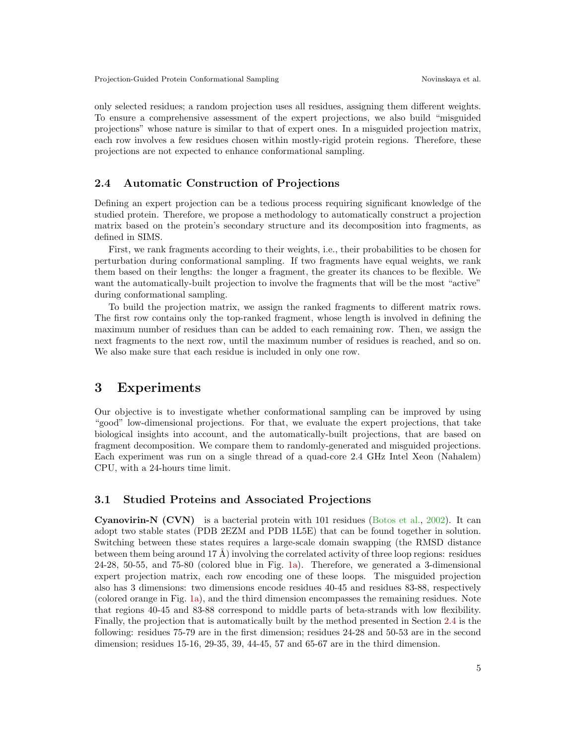only selected residues; a random projection uses all residues, assigning them different weights. To ensure a comprehensive assessment of the expert projections, we also build "misguided projections" whose nature is similar to that of expert ones. In a misguided projection matrix, each row involves a few residues chosen within mostly-rigid protein regions. Therefore, these projections are not expected to enhance conformational sampling.

#### <span id="page-4-0"></span>2.4 Automatic Construction of Projections

Defining an expert projection can be a tedious process requiring significant knowledge of the studied protein. Therefore, we propose a methodology to automatically construct a projection matrix based on the protein's secondary structure and its decomposition into fragments, as defined in SIMS.

First, we rank fragments according to their weights, i.e., their probabilities to be chosen for perturbation during conformational sampling. If two fragments have equal weights, we rank them based on their lengths: the longer a fragment, the greater its chances to be flexible. We want the automatically-built projection to involve the fragments that will be the most "active" during conformational sampling.

To build the projection matrix, we assign the ranked fragments to different matrix rows. The first row contains only the top-ranked fragment, whose length is involved in defining the maximum number of residues than can be added to each remaining row. Then, we assign the next fragments to the next row, until the maximum number of residues is reached, and so on. We also make sure that each residue is included in only one row.

### 3 Experiments

Our objective is to investigate whether conformational sampling can be improved by using "good" low-dimensional projections. For that, we evaluate the expert projections, that take biological insights into account, and the automatically-built projections, that are based on fragment decomposition. We compare them to randomly-generated and misguided projections. Each experiment was run on a single thread of a quad-core 2.4 GHz Intel Xeon (Nahalem) CPU, with a 24-hours time limit.

#### 3.1 Studied Proteins and Associated Projections

**Cyanovirin-N (CVN)** is a bacterial protein with 101 residues [\(Botos et al.,](#page-10-6) [2002\)](#page-10-6). It can adopt two stable states (PDB 2EZM and PDB 1L5E) that can be found together in solution. Switching between these states requires a large-scale domain swapping (the RMSD distance between them being around 17 Å) involving the correlated activity of three loop regions: residues 24-28, 50-55, and 75-80 (colored blue in Fig. [1a\)](#page-5-0). Therefore, we generated a 3-dimensional expert projection matrix, each row encoding one of these loops. The misguided projection also has 3 dimensions: two dimensions encode residues 40-45 and residues 83-88, respectively (colored orange in Fig. [1a\)](#page-5-0), and the third dimension encompasses the remaining residues. Note that regions 40-45 and 83-88 correspond to middle parts of beta-strands with low flexibility. Finally, the projection that is automatically built by the method presented in Section [2.4](#page-4-0) is the following: residues 75-79 are in the first dimension; residues 24-28 and 50-53 are in the second dimension; residues 15-16, 29-35, 39, 44-45, 57 and 65-67 are in the third dimension.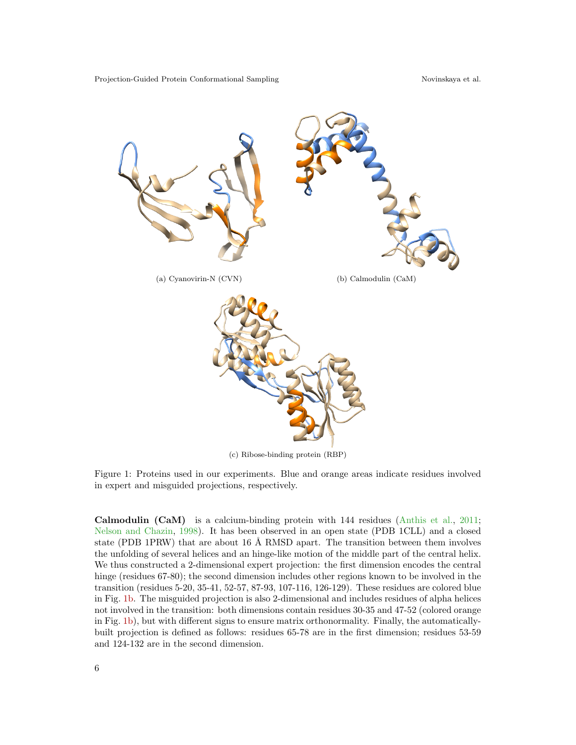<span id="page-5-0"></span>

<span id="page-5-2"></span><span id="page-5-1"></span>(c) Ribose-binding protein (RBP)

Figure 1: Proteins used in our experiments. Blue and orange areas indicate residues involved in expert and misguided projections, respectively.

Calmodulin (CaM) is a calcium-binding protein with 144 residues [\(Anthis et al.,](#page-10-7) [2011;](#page-10-7) [Nelson and Chazin,](#page-12-17) [1998\)](#page-12-17). It has been observed in an open state (PDB 1CLL) and a closed state (PDB 1PRW) that are about 16  $\AA$  RMSD apart. The transition between them involves the unfolding of several helices and an hinge-like motion of the middle part of the central helix. We thus constructed a 2-dimensional expert projection: the first dimension encodes the central hinge (residues 67-80); the second dimension includes other regions known to be involved in the transition (residues 5-20, 35-41, 52-57, 87-93, 107-116, 126-129). These residues are colored blue in Fig. [1b.](#page-5-1) The misguided projection is also 2-dimensional and includes residues of alpha helices not involved in the transition: both dimensions contain residues 30-35 and 47-52 (colored orange in Fig. [1b\)](#page-5-1), but with different signs to ensure matrix orthonormality. Finally, the automaticallybuilt projection is defined as follows: residues 65-78 are in the first dimension; residues 53-59 and 124-132 are in the second dimension.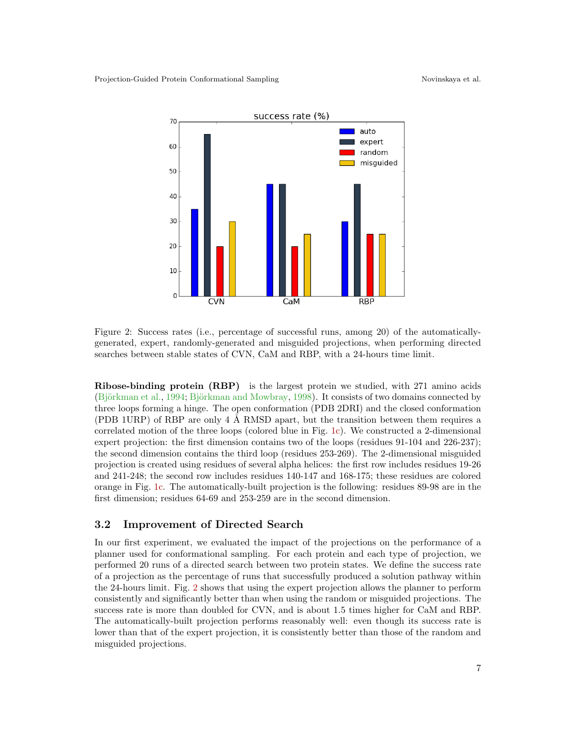<span id="page-6-0"></span>

Figure 2: Success rates (i.e., percentage of successful runs, among 20) of the automaticallygenerated, expert, randomly-generated and misguided projections, when performing directed searches between stable states of CVN, CaM and RBP, with a 24-hours time limit.

Ribose-binding protein (RBP) is the largest protein we studied, with 271 amino acids (Björkman et al., [1994;](#page-10-8) Björkman and Mowbray, [1998\)](#page-10-9). It consists of two domains connected by three loops forming a hinge. The open conformation (PDB 2DRI) and the closed conformation (PDB 1URP) of RBP are only  $4 \text{ Å}$  RMSD apart, but the transition between them requires a correlated motion of the three loops (colored blue in Fig. [1c\)](#page-5-2). We constructed a 2-dimensional expert projection: the first dimension contains two of the loops (residues 91-104 and 226-237); the second dimension contains the third loop (residues 253-269). The 2-dimensional misguided projection is created using residues of several alpha helices: the first row includes residues 19-26 and 241-248; the second row includes residues 140-147 and 168-175; these residues are colored orange in Fig. [1c.](#page-5-2) The automatically-built projection is the following: residues 89-98 are in the first dimension; residues 64-69 and 253-259 are in the second dimension.

#### 3.2 Improvement of Directed Search

In our first experiment, we evaluated the impact of the projections on the performance of a planner used for conformational sampling. For each protein and each type of projection, we performed 20 runs of a directed search between two protein states. We define the success rate of a projection as the percentage of runs that successfully produced a solution pathway within the 24-hours limit. Fig. [2](#page-6-0) shows that using the expert projection allows the planner to perform consistently and significantly better than when using the random or misguided projections. The success rate is more than doubled for CVN, and is about 1.5 times higher for CaM and RBP. The automatically-built projection performs reasonably well: even though its success rate is lower than that of the expert projection, it is consistently better than those of the random and misguided projections.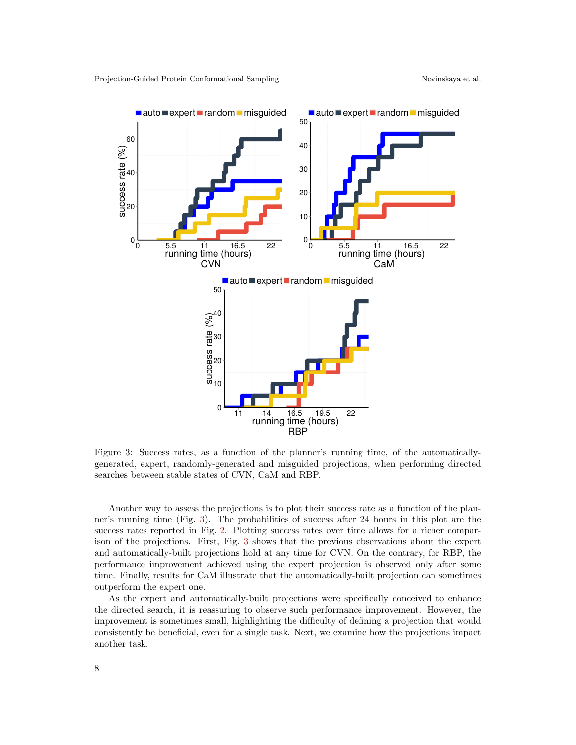<span id="page-7-0"></span>

Figure 3: Success rates, as a function of the planner's running time, of the automaticallygenerated, expert, randomly-generated and misguided projections, when performing directed searches between stable states of CVN, CaM and RBP.

Another way to assess the projections is to plot their success rate as a function of the planner's running time (Fig. [3\)](#page-7-0). The probabilities of success after 24 hours in this plot are the success rates reported in Fig. [2.](#page-6-0) Plotting success rates over time allows for a richer comparison of the projections. First, Fig. [3](#page-7-0) shows that the previous observations about the expert and automatically-built projections hold at any time for CVN. On the contrary, for RBP, the performance improvement achieved using the expert projection is observed only after some time. Finally, results for CaM illustrate that the automatically-built projection can sometimes outperform the expert one.

As the expert and automatically-built projections were specifically conceived to enhance the directed search, it is reassuring to observe such performance improvement. However, the improvement is sometimes small, highlighting the difficulty of defining a projection that would consistently be beneficial, even for a single task. Next, we examine how the projections impact another task.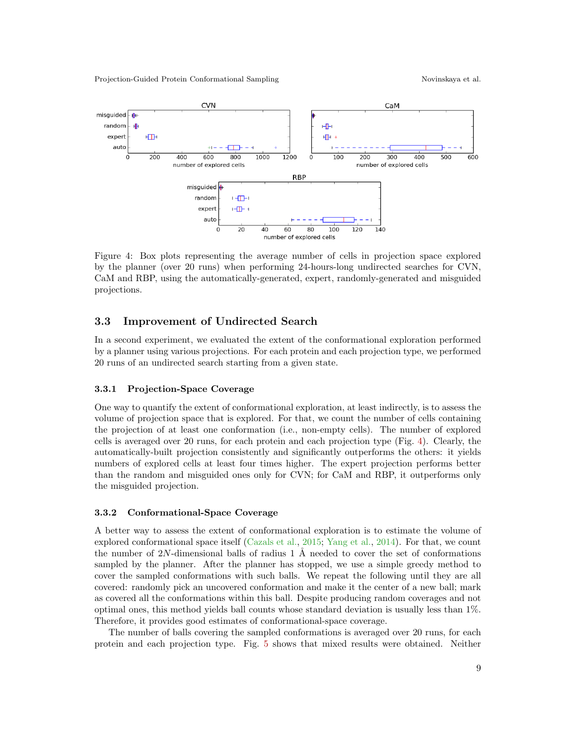Projection-Guided Protein Conformational Sampling Novinskaya et al.

<span id="page-8-0"></span>

Figure 4: Box plots representing the average number of cells in projection space explored by the planner (over 20 runs) when performing 24-hours-long undirected searches for CVN, CaM and RBP, using the automatically-generated, expert, randomly-generated and misguided projections.

#### 3.3 Improvement of Undirected Search

In a second experiment, we evaluated the extent of the conformational exploration performed by a planner using various projections. For each protein and each projection type, we performed 20 runs of an undirected search starting from a given state.

#### 3.3.1 Projection-Space Coverage

One way to quantify the extent of conformational exploration, at least indirectly, is to assess the volume of projection space that is explored. For that, we count the number of cells containing the projection of at least one conformation (i.e., non-empty cells). The number of explored cells is averaged over 20 runs, for each protein and each projection type (Fig. [4\)](#page-8-0). Clearly, the automatically-built projection consistently and significantly outperforms the others: it yields numbers of explored cells at least four times higher. The expert projection performs better than the random and misguided ones only for CVN; for CaM and RBP, it outperforms only the misguided projection.

#### 3.3.2 Conformational-Space Coverage

A better way to assess the extent of conformational exploration is to estimate the volume of explored conformational space itself [\(Cazals et al.,](#page-11-17) [2015;](#page-11-17) [Yang et al.,](#page-12-18) [2014\)](#page-12-18). For that, we count the number of  $2N$ -dimensional balls of radius 1 Å needed to cover the set of conformations sampled by the planner. After the planner has stopped, we use a simple greedy method to cover the sampled conformations with such balls. We repeat the following until they are all covered: randomly pick an uncovered conformation and make it the center of a new ball; mark as covered all the conformations within this ball. Despite producing random coverages and not optimal ones, this method yields ball counts whose standard deviation is usually less than 1%. Therefore, it provides good estimates of conformational-space coverage.

The number of balls covering the sampled conformations is averaged over 20 runs, for each protein and each projection type. Fig. [5](#page-9-0) shows that mixed results were obtained. Neither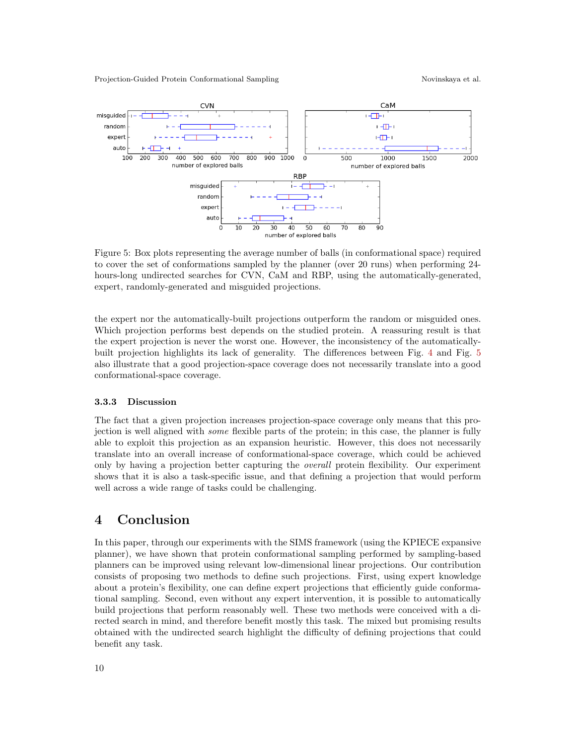Projection-Guided Protein Conformational Sampling Novinskaya et al.

<span id="page-9-0"></span>

Figure 5: Box plots representing the average number of balls (in conformational space) required to cover the set of conformations sampled by the planner (over 20 runs) when performing 24 hours-long undirected searches for CVN, CaM and RBP, using the automatically-generated, expert, randomly-generated and misguided projections.

the expert nor the automatically-built projections outperform the random or misguided ones. Which projection performs best depends on the studied protein. A reassuring result is that the expert projection is never the worst one. However, the inconsistency of the automaticallybuilt projection highlights its lack of generality. The differences between Fig. [4](#page-8-0) and Fig. [5](#page-9-0) also illustrate that a good projection-space coverage does not necessarily translate into a good conformational-space coverage.

#### 3.3.3 Discussion

The fact that a given projection increases projection-space coverage only means that this projection is well aligned with some flexible parts of the protein; in this case, the planner is fully able to exploit this projection as an expansion heuristic. However, this does not necessarily translate into an overall increase of conformational-space coverage, which could be achieved only by having a projection better capturing the overall protein flexibility. Our experiment shows that it is also a task-specific issue, and that defining a projection that would perform well across a wide range of tasks could be challenging.

## 4 Conclusion

In this paper, through our experiments with the SIMS framework (using the KPIECE expansive planner), we have shown that protein conformational sampling performed by sampling-based planners can be improved using relevant low-dimensional linear projections. Our contribution consists of proposing two methods to define such projections. First, using expert knowledge about a protein's flexibility, one can define expert projections that efficiently guide conformational sampling. Second, even without any expert intervention, it is possible to automatically build projections that perform reasonably well. These two methods were conceived with a directed search in mind, and therefore benefit mostly this task. The mixed but promising results obtained with the undirected search highlight the difficulty of defining projections that could benefit any task.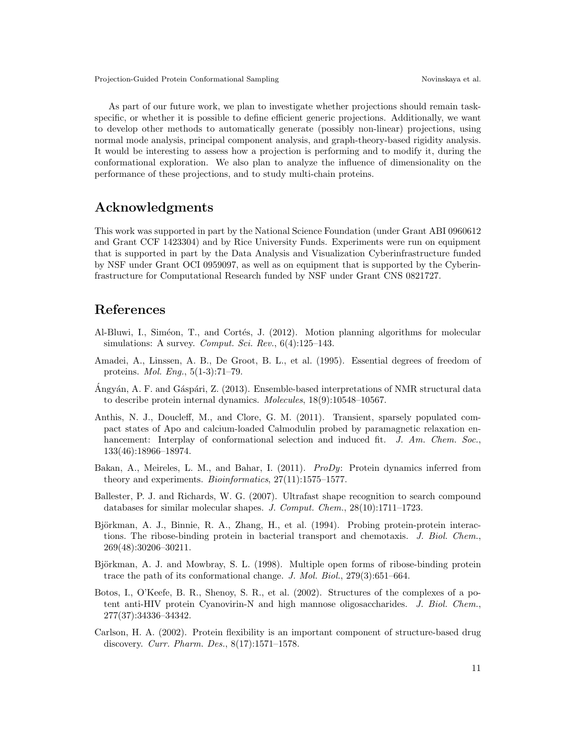As part of our future work, we plan to investigate whether projections should remain taskspecific, or whether it is possible to define efficient generic projections. Additionally, we want to develop other methods to automatically generate (possibly non-linear) projections, using normal mode analysis, principal component analysis, and graph-theory-based rigidity analysis. It would be interesting to assess how a projection is performing and to modify it, during the conformational exploration. We also plan to analyze the influence of dimensionality on the performance of these projections, and to study multi-chain proteins.

### Acknowledgments

This work was supported in part by the National Science Foundation (under Grant ABI 0960612 and Grant CCF 1423304) and by Rice University Funds. Experiments were run on equipment that is supported in part by the Data Analysis and Visualization Cyberinfrastructure funded by NSF under Grant OCI 0959097, as well as on equipment that is supported by the Cyberinfrastructure for Computational Research funded by NSF under Grant CNS 0821727.

# References

- <span id="page-10-1"></span>Al-Bluwi, I., Siméon, T., and Cortés, J. (2012). Motion planning algorithms for molecular simulations: A survey. Comput. Sci. Rev.,  $6(4):125-143$ .
- <span id="page-10-2"></span>Amadei, A., Linssen, A. B., De Groot, B. L., et al. (1995). Essential degrees of freedom of proteins. Mol. Eng., 5(1-3):71–79.
- <span id="page-10-4"></span>Angyán, A. F. and Gáspári, Z. (2013). Ensemble-based interpretations of NMR structural data to describe protein internal dynamics. Molecules, 18(9):10548–10567.
- <span id="page-10-7"></span>Anthis, N. J., Doucleff, M., and Clore, G. M. (2011). Transient, sparsely populated compact states of Apo and calcium-loaded Calmodulin probed by paramagnetic relaxation enhancement: Interplay of conformational selection and induced fit. J. Am. Chem. Soc., 133(46):18966–18974.
- <span id="page-10-5"></span>Bakan, A., Meireles, L. M., and Bahar, I. (2011). *ProDy*: Protein dynamics inferred from theory and experiments. Bioinformatics, 27(11):1575–1577.
- <span id="page-10-3"></span>Ballester, P. J. and Richards, W. G. (2007). Ultrafast shape recognition to search compound databases for similar molecular shapes. J. Comput. Chem., 28(10):1711–1723.
- <span id="page-10-8"></span>Björkman, A. J., Binnie, R. A., Zhang, H., et al. (1994). Probing protein-protein interactions. The ribose-binding protein in bacterial transport and chemotaxis. J. Biol. Chem., 269(48):30206–30211.
- <span id="page-10-9"></span>Björkman, A. J. and Mowbray, S. L. (1998). Multiple open forms of ribose-binding protein trace the path of its conformational change. J. Mol. Biol., 279(3):651–664.
- <span id="page-10-6"></span>Botos, I., O'Keefe, B. R., Shenoy, S. R., et al. (2002). Structures of the complexes of a potent anti-HIV protein Cyanovirin-N and high mannose oligosaccharides. J. Biol. Chem., 277(37):34336–34342.
- <span id="page-10-0"></span>Carlson, H. A. (2002). Protein flexibility is an important component of structure-based drug discovery. Curr. Pharm. Des., 8(17):1571–1578.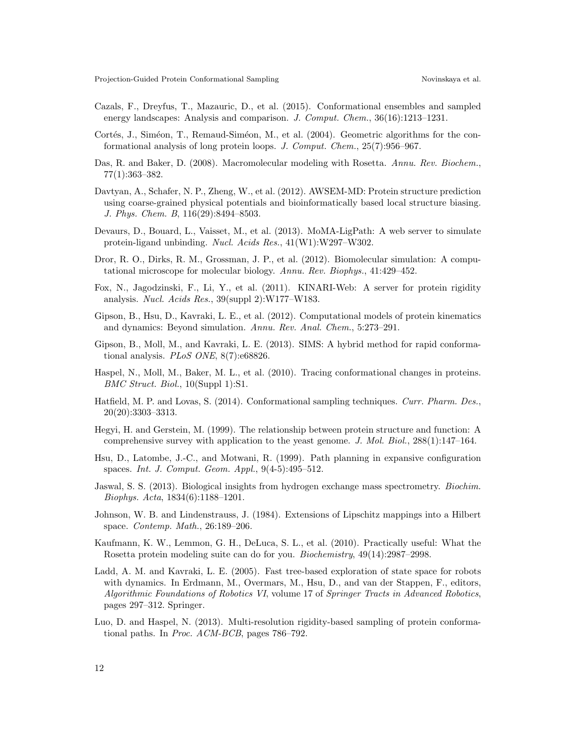- <span id="page-11-17"></span>Cazals, F., Dreyfus, T., Mazauric, D., et al. (2015). Conformational ensembles and sampled energy landscapes: Analysis and comparison. J. Comput. Chem., 36(16):1213–1231.
- <span id="page-11-4"></span>Cortés, J., Siméon, T., Remaud-Siméon, M., et al. (2004). Geometric algorithms for the conformational analysis of long protein loops. J. Comput. Chem., 25(7):956–967.
- <span id="page-11-11"></span>Das, R. and Baker, D. (2008). Macromolecular modeling with Rosetta. Annu. Rev. Biochem., 77(1):363–382.
- <span id="page-11-13"></span>Davtyan, A., Schafer, N. P., Zheng, W., et al. (2012). AWSEM-MD: Protein structure prediction using coarse-grained physical potentials and bioinformatically based local structure biasing. J. Phys. Chem. B, 116(29):8494–8503.
- <span id="page-11-7"></span>Devaurs, D., Bouard, L., Vaisset, M., et al. (2013). MoMA-LigPath: A web server to simulate protein-ligand unbinding. Nucl. Acids Res., 41(W1):W297–W302.
- <span id="page-11-2"></span>Dror, R. O., Dirks, R. M., Grossman, J. P., et al. (2012). Biomolecular simulation: A computational microscope for molecular biology. Annu. Rev. Biophys., 41:429–452.
- <span id="page-11-16"></span>Fox, N., Jagodzinski, F., Li, Y., et al. (2011). KINARI-Web: A server for protein rigidity analysis. Nucl. Acids Res., 39(suppl 2):W177–W183.
- <span id="page-11-3"></span>Gipson, B., Hsu, D., Kavraki, L. E., et al. (2012). Computational models of protein kinematics and dynamics: Beyond simulation. Annu. Rev. Anal. Chem., 5:273–291.
- <span id="page-11-10"></span>Gipson, B., Moll, M., and Kavraki, L. E. (2013). SIMS: A hybrid method for rapid conformational analysis. *PLoS ONE*, 8(7):e68826.
- <span id="page-11-5"></span>Haspel, N., Moll, M., Baker, M. L., et al. (2010). Tracing conformational changes in proteins. BMC Struct. Biol., 10(Suppl 1):S1.
- <span id="page-11-1"></span>Hatfield, M. P. and Lovas, S. (2014). Conformational sampling techniques. Curr. Pharm. Des., 20(20):3303–3313.
- <span id="page-11-0"></span>Hegyi, H. and Gerstein, M. (1999). The relationship between protein structure and function: A comprehensive survey with application to the yeast genome. J. Mol. Biol., 288(1):147–164.
- <span id="page-11-8"></span>Hsu, D., Latombe, J.-C., and Motwani, R. (1999). Path planning in expansive configuration spaces. Int. J. Comput. Geom. Appl., 9(4-5):495–512.
- <span id="page-11-15"></span>Jaswal, S. S. (2013). Biological insights from hydrogen exchange mass spectrometry. Biochim. Biophys. Acta, 1834(6):1188–1201.
- <span id="page-11-14"></span>Johnson, W. B. and Lindenstrauss, J. (1984). Extensions of Lipschitz mappings into a Hilbert space. Contemp. Math., 26:189–206.
- <span id="page-11-12"></span>Kaufmann, K. W., Lemmon, G. H., DeLuca, S. L., et al. (2010). Practically useful: What the Rosetta protein modeling suite can do for you. Biochemistry, 49(14):2987–2998.
- <span id="page-11-9"></span>Ladd, A. M. and Kavraki, L. E. (2005). Fast tree-based exploration of state space for robots with dynamics. In Erdmann, M., Overmars, M., Hsu, D., and van der Stappen, F., editors, Algorithmic Foundations of Robotics VI, volume 17 of Springer Tracts in Advanced Robotics, pages 297–312. Springer.
- <span id="page-11-6"></span>Luo, D. and Haspel, N. (2013). Multi-resolution rigidity-based sampling of protein conformational paths. In Proc. ACM-BCB, pages 786–792.